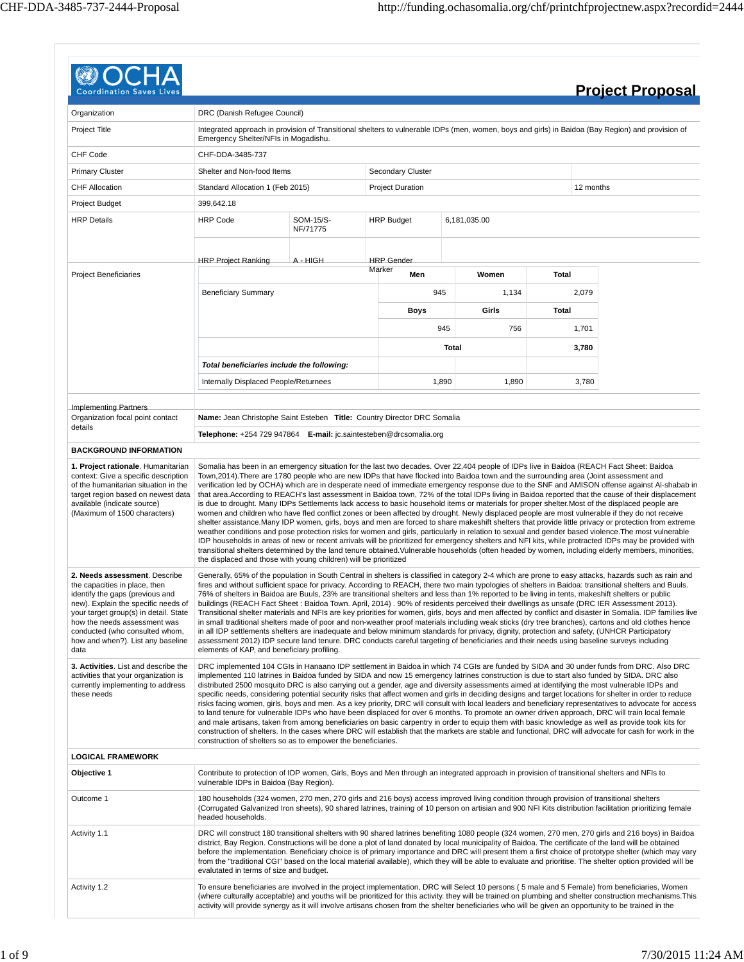| <b>Coordination Saves Lives</b>                                                                                                                                                                                                                                                                  |                                                                                                                                                                                                                                                                                                                                                                                                                                                                                                                                                                                                                                                                                                                                                                                                                                                                                                                                                                                                                                                                                                                                                                                                                                                                                             |                       |        |                          |              |              |       |           | <b>Project Proposal</b>                                                                                                                                                                                                                                                                              |
|--------------------------------------------------------------------------------------------------------------------------------------------------------------------------------------------------------------------------------------------------------------------------------------------------|---------------------------------------------------------------------------------------------------------------------------------------------------------------------------------------------------------------------------------------------------------------------------------------------------------------------------------------------------------------------------------------------------------------------------------------------------------------------------------------------------------------------------------------------------------------------------------------------------------------------------------------------------------------------------------------------------------------------------------------------------------------------------------------------------------------------------------------------------------------------------------------------------------------------------------------------------------------------------------------------------------------------------------------------------------------------------------------------------------------------------------------------------------------------------------------------------------------------------------------------------------------------------------------------|-----------------------|--------|--------------------------|--------------|--------------|-------|-----------|------------------------------------------------------------------------------------------------------------------------------------------------------------------------------------------------------------------------------------------------------------------------------------------------------|
| Organization                                                                                                                                                                                                                                                                                     | DRC (Danish Refugee Council)                                                                                                                                                                                                                                                                                                                                                                                                                                                                                                                                                                                                                                                                                                                                                                                                                                                                                                                                                                                                                                                                                                                                                                                                                                                                |                       |        |                          |              |              |       |           |                                                                                                                                                                                                                                                                                                      |
| Project Title                                                                                                                                                                                                                                                                                    | Integrated approach in provision of Transitional shelters to vulnerable IDPs (men, women, boys and girls) in Baidoa (Bay Region) and provision of<br>Emergency Shelter/NFIs in Mogadishu.                                                                                                                                                                                                                                                                                                                                                                                                                                                                                                                                                                                                                                                                                                                                                                                                                                                                                                                                                                                                                                                                                                   |                       |        |                          |              |              |       |           |                                                                                                                                                                                                                                                                                                      |
| CHF Code                                                                                                                                                                                                                                                                                         | CHF-DDA-3485-737                                                                                                                                                                                                                                                                                                                                                                                                                                                                                                                                                                                                                                                                                                                                                                                                                                                                                                                                                                                                                                                                                                                                                                                                                                                                            |                       |        |                          |              |              |       |           |                                                                                                                                                                                                                                                                                                      |
| <b>Primary Cluster</b>                                                                                                                                                                                                                                                                           | Shelter and Non-food Items                                                                                                                                                                                                                                                                                                                                                                                                                                                                                                                                                                                                                                                                                                                                                                                                                                                                                                                                                                                                                                                                                                                                                                                                                                                                  |                       |        | <b>Secondary Cluster</b> |              |              |       |           |                                                                                                                                                                                                                                                                                                      |
| CHF Allocation                                                                                                                                                                                                                                                                                   | Standard Allocation 1 (Feb 2015)                                                                                                                                                                                                                                                                                                                                                                                                                                                                                                                                                                                                                                                                                                                                                                                                                                                                                                                                                                                                                                                                                                                                                                                                                                                            |                       |        | <b>Project Duration</b>  |              |              |       | 12 months |                                                                                                                                                                                                                                                                                                      |
| Project Budget                                                                                                                                                                                                                                                                                   | 399,642.18                                                                                                                                                                                                                                                                                                                                                                                                                                                                                                                                                                                                                                                                                                                                                                                                                                                                                                                                                                                                                                                                                                                                                                                                                                                                                  |                       |        |                          |              |              |       |           |                                                                                                                                                                                                                                                                                                      |
| <b>HRP Details</b>                                                                                                                                                                                                                                                                               | <b>HRP Code</b>                                                                                                                                                                                                                                                                                                                                                                                                                                                                                                                                                                                                                                                                                                                                                                                                                                                                                                                                                                                                                                                                                                                                                                                                                                                                             | SOM-15/S-<br>NF/71775 |        | <b>HRP Budget</b>        |              | 6,181,035.00 |       |           |                                                                                                                                                                                                                                                                                                      |
|                                                                                                                                                                                                                                                                                                  | <b>HRP Project Ranking</b>                                                                                                                                                                                                                                                                                                                                                                                                                                                                                                                                                                                                                                                                                                                                                                                                                                                                                                                                                                                                                                                                                                                                                                                                                                                                  | A - HIGH              |        | <b>HRP</b> Gender        |              |              |       |           |                                                                                                                                                                                                                                                                                                      |
| <b>Project Beneficiaries</b>                                                                                                                                                                                                                                                                     |                                                                                                                                                                                                                                                                                                                                                                                                                                                                                                                                                                                                                                                                                                                                                                                                                                                                                                                                                                                                                                                                                                                                                                                                                                                                                             |                       | Marker | Men                      |              | Women        | Total |           |                                                                                                                                                                                                                                                                                                      |
|                                                                                                                                                                                                                                                                                                  | <b>Beneficiary Summary</b>                                                                                                                                                                                                                                                                                                                                                                                                                                                                                                                                                                                                                                                                                                                                                                                                                                                                                                                                                                                                                                                                                                                                                                                                                                                                  |                       |        | 945                      |              | 1,134        |       | 2,079     |                                                                                                                                                                                                                                                                                                      |
|                                                                                                                                                                                                                                                                                                  |                                                                                                                                                                                                                                                                                                                                                                                                                                                                                                                                                                                                                                                                                                                                                                                                                                                                                                                                                                                                                                                                                                                                                                                                                                                                                             |                       |        | Boys                     |              | Girls        | Total |           |                                                                                                                                                                                                                                                                                                      |
|                                                                                                                                                                                                                                                                                                  |                                                                                                                                                                                                                                                                                                                                                                                                                                                                                                                                                                                                                                                                                                                                                                                                                                                                                                                                                                                                                                                                                                                                                                                                                                                                                             |                       |        |                          |              |              |       |           |                                                                                                                                                                                                                                                                                                      |
|                                                                                                                                                                                                                                                                                                  |                                                                                                                                                                                                                                                                                                                                                                                                                                                                                                                                                                                                                                                                                                                                                                                                                                                                                                                                                                                                                                                                                                                                                                                                                                                                                             |                       |        |                          | 945          | 756          |       | 1,701     |                                                                                                                                                                                                                                                                                                      |
|                                                                                                                                                                                                                                                                                                  |                                                                                                                                                                                                                                                                                                                                                                                                                                                                                                                                                                                                                                                                                                                                                                                                                                                                                                                                                                                                                                                                                                                                                                                                                                                                                             |                       |        |                          | <b>Total</b> |              |       | 3,780     |                                                                                                                                                                                                                                                                                                      |
|                                                                                                                                                                                                                                                                                                  | Total beneficiaries include the following:                                                                                                                                                                                                                                                                                                                                                                                                                                                                                                                                                                                                                                                                                                                                                                                                                                                                                                                                                                                                                                                                                                                                                                                                                                                  |                       |        |                          |              |              |       |           |                                                                                                                                                                                                                                                                                                      |
|                                                                                                                                                                                                                                                                                                  | Internally Displaced People/Returnees                                                                                                                                                                                                                                                                                                                                                                                                                                                                                                                                                                                                                                                                                                                                                                                                                                                                                                                                                                                                                                                                                                                                                                                                                                                       |                       |        |                          | 1,890        | 1,890        |       | 3,780     |                                                                                                                                                                                                                                                                                                      |
|                                                                                                                                                                                                                                                                                                  |                                                                                                                                                                                                                                                                                                                                                                                                                                                                                                                                                                                                                                                                                                                                                                                                                                                                                                                                                                                                                                                                                                                                                                                                                                                                                             |                       |        |                          |              |              |       |           |                                                                                                                                                                                                                                                                                                      |
| <b>Implementing Partners</b><br>Organization focal point contact                                                                                                                                                                                                                                 | Name: Jean Christophe Saint Esteben Title: Country Director DRC Somalia                                                                                                                                                                                                                                                                                                                                                                                                                                                                                                                                                                                                                                                                                                                                                                                                                                                                                                                                                                                                                                                                                                                                                                                                                     |                       |        |                          |              |              |       |           |                                                                                                                                                                                                                                                                                                      |
| details                                                                                                                                                                                                                                                                                          | Telephone: +254 729 947864 E-mail: jc.saintesteben@drcsomalia.org                                                                                                                                                                                                                                                                                                                                                                                                                                                                                                                                                                                                                                                                                                                                                                                                                                                                                                                                                                                                                                                                                                                                                                                                                           |                       |        |                          |              |              |       |           |                                                                                                                                                                                                                                                                                                      |
| <b>BACKGROUND INFORMATION</b>                                                                                                                                                                                                                                                                    |                                                                                                                                                                                                                                                                                                                                                                                                                                                                                                                                                                                                                                                                                                                                                                                                                                                                                                                                                                                                                                                                                                                                                                                                                                                                                             |                       |        |                          |              |              |       |           |                                                                                                                                                                                                                                                                                                      |
| of the humanitarian situation in the<br>target region based on newest data<br>available (indicate source)<br>(Maximum of 1500 characters)                                                                                                                                                        | is due to drought. Many IDPs Settlements lack access to basic household items or materials for proper shelter. Most of the displaced people are<br>women and children who have fled conflict zones or been affected by drought. Newly displaced people are most vulnerable if they do not receive<br>shelter assistance.Many IDP women, girls, boys and men are forced to share makeshift shelters that provide little privacy or protection from extreme<br>weather conditions and pose protection risks for women and girls, particularly in relation to sexual and gender based violence. The most vulnerable<br>IDP households in areas of new or recent arrivals will be prioritized for emergency shelters and NFI kits, while protracted IDPs may be provided with<br>transitional shelters determined by the land tenure obtained. Vulnerable households (often headed by women, including elderly members, minorities,<br>the displaced and those with young children) will be prioritized                                                                                                                                                                                                                                                                                         |                       |        |                          |              |              |       |           | verification led by OCHA) which are in desperate need of immediate emergency response due to the SNF and AMISON offense against AI-shabab in<br>that area. According to REACH's last assessment in Baidoa town, 72% of the total IDPs living in Baidoa reported that the cause of their displacement |
| 2. Needs assessment. Describe<br>the capacities in place, then<br>identify the gaps (previous and<br>new). Explain the specific needs of<br>your target group(s) in detail. State<br>how the needs assessment was<br>conducted (who consulted whom,<br>how and when?). List any baseline<br>data | Generally, 65% of the population in South Central in shelters is classified in category 2-4 which are prone to easy attacks, hazards such as rain and<br>fires and without sufficient space for privacy. According to REACH, there two main typologies of shelters in Baidoa: transitional shelters and Buuls.<br>76% of shelters in Baidoa are Buuls, 23% are transitional shelters and less than 1% reported to be living in tents, makeshift shelters or public<br>buildings (REACH Fact Sheet: Baidoa Town. April, 2014). 90% of residents perceived their dwellings as unsafe (DRC IER Assessment 2013).<br>in small traditional shelters made of poor and non-weather proof materials including weak sticks (dry tree branches), cartons and old clothes hence<br>in all IDP settlements shelters are inadequate and below minimum standards for privacy, dignity, protection and safety, (UNHCR Participatory<br>assessment 2012) IDP secure land tenure. DRC conducts careful targeting of beneficiaries and their needs using baseline surveys including<br>elements of KAP, and beneficiary profiling.                                                                                                                                                                            |                       |        |                          |              |              |       |           | Transitional shelter materials and NFIs are key priorities for women, girls, boys and men affected by conflict and disaster in Somalia. IDP families live                                                                                                                                            |
| 3. Activities. List and describe the<br>activities that your organization is<br>currently implementing to address<br>these needs                                                                                                                                                                 | DRC implemented 104 CGIs in Hanaano IDP settlement in Baidoa in which 74 CGIs are funded by SIDA and 30 under funds from DRC. Also DRC<br>implemented 110 latrines in Baidoa funded by SIDA and now 15 emergency latrines construction is due to start also funded by SIDA. DRC also<br>distributed 2500 mosquito DRC is also carrying out a gender, age and diversity assessments aimed at identifying the most vulnerable IDPs and<br>specific needs, considering potential security risks that affect women and girls in deciding designs and target locations for shelter in order to reduce<br>risks facing women, girls, boys and men. As a key priority, DRC will consult with local leaders and beneficiary representatives to advocate for access<br>to land tenure for vulnerable IDPs who have been displaced for over 6 months. To promote an owner driven approach, DRC will train local female<br>and male artisans, taken from among beneficiaries on basic carpentry in order to equip them with basic knowledge as well as provide took kits for<br>construction of shelters. In the cases where DRC will establish that the markets are stable and functional, DRC will advocate for cash for work in the<br>construction of shelters so as to empower the beneficiaries. |                       |        |                          |              |              |       |           |                                                                                                                                                                                                                                                                                                      |
| <b>LOGICAL FRAMEWORK</b>                                                                                                                                                                                                                                                                         |                                                                                                                                                                                                                                                                                                                                                                                                                                                                                                                                                                                                                                                                                                                                                                                                                                                                                                                                                                                                                                                                                                                                                                                                                                                                                             |                       |        |                          |              |              |       |           |                                                                                                                                                                                                                                                                                                      |
| Objective 1                                                                                                                                                                                                                                                                                      | Contribute to protection of IDP women, Girls, Boys and Men through an integrated approach in provision of transitional shelters and NFIs to<br>vulnerable IDPs in Baidoa (Bay Region).                                                                                                                                                                                                                                                                                                                                                                                                                                                                                                                                                                                                                                                                                                                                                                                                                                                                                                                                                                                                                                                                                                      |                       |        |                          |              |              |       |           |                                                                                                                                                                                                                                                                                                      |
| Outcome 1                                                                                                                                                                                                                                                                                        | 180 households (324 women, 270 men, 270 girls and 216 boys) access improved living condition through provision of transitional shelters<br>(Corrugated Galvanized Iron sheets), 90 shared latrines, training of 10 person on artisian and 900 NFI Kits distribution facilitation prioritizing female<br>headed households.                                                                                                                                                                                                                                                                                                                                                                                                                                                                                                                                                                                                                                                                                                                                                                                                                                                                                                                                                                  |                       |        |                          |              |              |       |           |                                                                                                                                                                                                                                                                                                      |
| Activity 1.1                                                                                                                                                                                                                                                                                     | DRC will construct 180 transitional shelters with 90 shared latrines benefiting 1080 people (324 women, 270 men, 270 girls and 216 boys) in Baidoa<br>district, Bay Region. Constructions will be done a plot of land donated by local municipality of Baidoa. The certificate of the land will be obtained<br>before the implementation. Beneficiary choice is of primary importance and DRC will present them a first choice of prototype shelter (which may vary<br>from the "traditional CGI" based on the local material available), which they will be able to evaluate and prioritise. The shelter option provided will be<br>evalutated in terms of size and budget.                                                                                                                                                                                                                                                                                                                                                                                                                                                                                                                                                                                                                |                       |        |                          |              |              |       |           |                                                                                                                                                                                                                                                                                                      |
| Activity 1.2                                                                                                                                                                                                                                                                                     | To ensure beneficiaries are involved in the project implementation, DRC will Select 10 persons (5 male and 5 Female) from beneficiaries, Women<br>activity will provide synergy as it will involve artisans chosen from the shelter beneficiaries who will be given an opportunity to be trained in the                                                                                                                                                                                                                                                                                                                                                                                                                                                                                                                                                                                                                                                                                                                                                                                                                                                                                                                                                                                     |                       |        |                          |              |              |       |           | (where culturally acceptable) and youths will be prioritized for this activity. they will be trained on plumbing and shelter construction mechanisms. This                                                                                                                                           |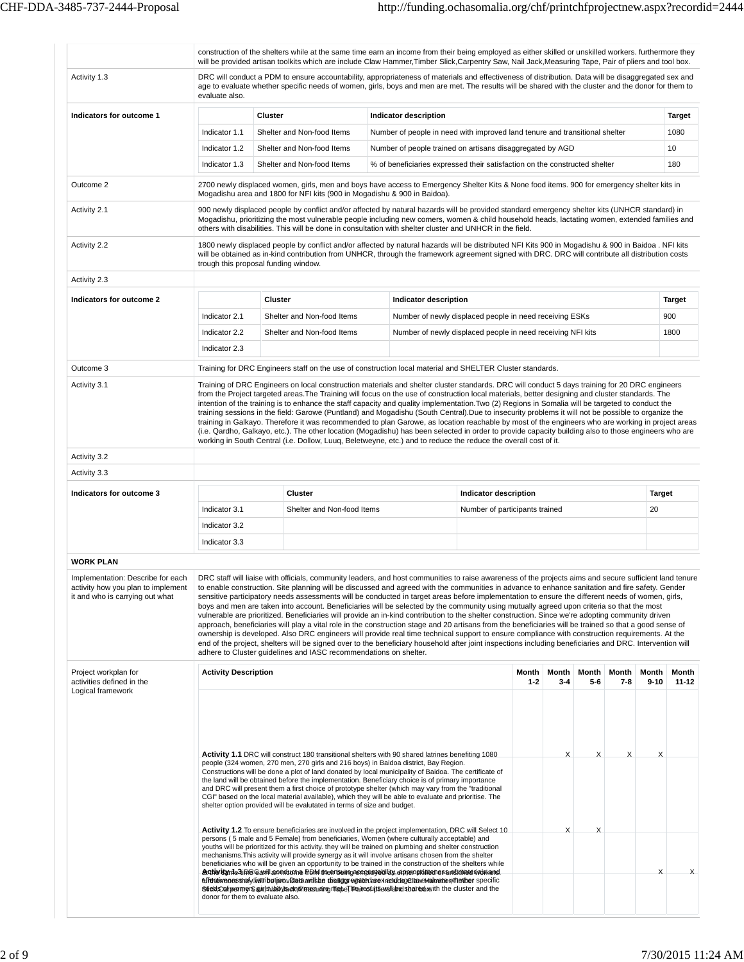|                                                                                                            |                             | construction of the shelters while at the same time earn an income from their being employed as either skilled or unskilled workers. furthermore they<br>will be provided artisan toolkits which are include Claw Hammer, Timber Slick, Carpentry Saw, Nail Jack, Measuring Tape, Pair of pliers and tool box.                                                                                                                                                                                                                                                                                                                                                                                                                                                                                                                                                                                                                                                                                                                                                                                                                                        |                                                                                                                                                         |                                |                  |                  |              |                  |                   |                |
|------------------------------------------------------------------------------------------------------------|-----------------------------|-------------------------------------------------------------------------------------------------------------------------------------------------------------------------------------------------------------------------------------------------------------------------------------------------------------------------------------------------------------------------------------------------------------------------------------------------------------------------------------------------------------------------------------------------------------------------------------------------------------------------------------------------------------------------------------------------------------------------------------------------------------------------------------------------------------------------------------------------------------------------------------------------------------------------------------------------------------------------------------------------------------------------------------------------------------------------------------------------------------------------------------------------------|---------------------------------------------------------------------------------------------------------------------------------------------------------|--------------------------------|------------------|------------------|--------------|------------------|-------------------|----------------|
| Activity 1.3                                                                                               | evaluate also.              | DRC will conduct a PDM to ensure accountability, appropriateness of materials and effectiveness of distribution. Data will be disaggregated sex and<br>age to evaluate whether specific needs of women, girls, boys and men are met. The results will be shared with the cluster and the donor for them to                                                                                                                                                                                                                                                                                                                                                                                                                                                                                                                                                                                                                                                                                                                                                                                                                                            |                                                                                                                                                         |                                |                  |                  |              |                  |                   |                |
| Indicators for outcome 1                                                                                   |                             | Cluster                                                                                                                                                                                                                                                                                                                                                                                                                                                                                                                                                                                                                                                                                                                                                                                                                                                                                                                                                                                                                                                                                                                                               | <b>Indicator description</b>                                                                                                                            |                                |                  |                  |              |                  |                   | <b>Target</b>  |
|                                                                                                            | Indicator 1.1               | Shelter and Non-food Items                                                                                                                                                                                                                                                                                                                                                                                                                                                                                                                                                                                                                                                                                                                                                                                                                                                                                                                                                                                                                                                                                                                            | Number of people in need with improved land tenure and transitional shelter                                                                             |                                |                  |                  |              |                  |                   | 1080           |
|                                                                                                            | Indicator 1.2               | Shelter and Non-food Items                                                                                                                                                                                                                                                                                                                                                                                                                                                                                                                                                                                                                                                                                                                                                                                                                                                                                                                                                                                                                                                                                                                            | Number of people trained on artisans disaggregated by AGD                                                                                               |                                |                  |                  |              |                  |                   | 10             |
|                                                                                                            | Indicator 1.3               | Shelter and Non-food Items                                                                                                                                                                                                                                                                                                                                                                                                                                                                                                                                                                                                                                                                                                                                                                                                                                                                                                                                                                                                                                                                                                                            | % of beneficiaries expressed their satisfaction on the constructed shelter                                                                              |                                |                  |                  |              |                  |                   | 180            |
| Outcome 2                                                                                                  |                             | 2700 newly displaced women, girls, men and boys have access to Emergency Shelter Kits & None food items. 900 for emergency shelter kits in<br>Mogadishu area and 1800 for NFI kits (900 in Mogadishu & 900 in Baidoa).                                                                                                                                                                                                                                                                                                                                                                                                                                                                                                                                                                                                                                                                                                                                                                                                                                                                                                                                |                                                                                                                                                         |                                |                  |                  |              |                  |                   |                |
| Activity 2.1                                                                                               |                             | 900 newly displaced people by conflict and/or affected by natural hazards will be provided standard emergency shelter kits (UNHCR standard) in<br>Mogadishu, prioritizing the most vulnerable people including new comers, women & child household heads, lactating women, extended families and<br>others with disabilities. This will be done in consultation with shelter cluster and UNHCR in the field.                                                                                                                                                                                                                                                                                                                                                                                                                                                                                                                                                                                                                                                                                                                                          |                                                                                                                                                         |                                |                  |                  |              |                  |                   |                |
| Activity 2.2                                                                                               |                             | 1800 newly displaced people by conflict and/or affected by natural hazards will be distributed NFI Kits 900 in Mogadishu & 900 in Baidoa. NFI kits<br>will be obtained as in-kind contribution from UNHCR, through the framework agreement signed with DRC. DRC will contribute all distribution costs<br>trough this proposal funding window.                                                                                                                                                                                                                                                                                                                                                                                                                                                                                                                                                                                                                                                                                                                                                                                                        |                                                                                                                                                         |                                |                  |                  |              |                  |                   |                |
| Activity 2.3                                                                                               |                             |                                                                                                                                                                                                                                                                                                                                                                                                                                                                                                                                                                                                                                                                                                                                                                                                                                                                                                                                                                                                                                                                                                                                                       |                                                                                                                                                         |                                |                  |                  |              |                  |                   |                |
| Indicators for outcome 2                                                                                   |                             | <b>Cluster</b>                                                                                                                                                                                                                                                                                                                                                                                                                                                                                                                                                                                                                                                                                                                                                                                                                                                                                                                                                                                                                                                                                                                                        | Indicator description                                                                                                                                   |                                |                  |                  |              |                  |                   | <b>Target</b>  |
|                                                                                                            | Indicator 2.1               | Shelter and Non-food Items                                                                                                                                                                                                                                                                                                                                                                                                                                                                                                                                                                                                                                                                                                                                                                                                                                                                                                                                                                                                                                                                                                                            | Number of newly displaced people in need receiving ESKs                                                                                                 |                                |                  |                  |              |                  |                   | 900            |
|                                                                                                            | Indicator 2.2               | Shelter and Non-food Items                                                                                                                                                                                                                                                                                                                                                                                                                                                                                                                                                                                                                                                                                                                                                                                                                                                                                                                                                                                                                                                                                                                            | Number of newly displaced people in need receiving NFI kits                                                                                             |                                |                  |                  |              |                  |                   | 1800           |
|                                                                                                            | Indicator 2.3               |                                                                                                                                                                                                                                                                                                                                                                                                                                                                                                                                                                                                                                                                                                                                                                                                                                                                                                                                                                                                                                                                                                                                                       |                                                                                                                                                         |                                |                  |                  |              |                  |                   |                |
|                                                                                                            |                             |                                                                                                                                                                                                                                                                                                                                                                                                                                                                                                                                                                                                                                                                                                                                                                                                                                                                                                                                                                                                                                                                                                                                                       |                                                                                                                                                         |                                |                  |                  |              |                  |                   |                |
| Outcome 3<br>Activity 3.1                                                                                  |                             | Training for DRC Engineers staff on the use of construction local material and SHELTER Cluster standards.<br>Training of DRC Engineers on local construction materials and shelter cluster standards. DRC will conduct 5 days training for 20 DRC engineers                                                                                                                                                                                                                                                                                                                                                                                                                                                                                                                                                                                                                                                                                                                                                                                                                                                                                           |                                                                                                                                                         |                                |                  |                  |              |                  |                   |                |
|                                                                                                            |                             | from the Project targeted areas. The Training will focus on the use of construction local materials, better designing and cluster standards. The<br>intention of the training is to enhance the staff capacity and quality implementation. Two (2) Regions in Somalia will be targeted to conduct the<br>training sessions in the field: Garowe (Puntland) and Mogadishu (South Central).Due to insecurity problems it will not be possible to organize the<br>training in Galkayo. Therefore it was recommended to plan Garowe, as location reachable by most of the engineers who are working in project areas<br>(i.e. Qardho, Galkayo, etc.). The other location (Mogadishu) has been selected in order to provide capacity building also to those engineers who are<br>working in South Central (i.e. Dollow, Luuq, Beletweyne, etc.) and to reduce the reduce the overall cost of it.                                                                                                                                                                                                                                                           |                                                                                                                                                         |                                |                  |                  |              |                  |                   |                |
| Activity 3.2                                                                                               |                             |                                                                                                                                                                                                                                                                                                                                                                                                                                                                                                                                                                                                                                                                                                                                                                                                                                                                                                                                                                                                                                                                                                                                                       |                                                                                                                                                         |                                |                  |                  |              |                  |                   |                |
| Activity 3.3                                                                                               |                             |                                                                                                                                                                                                                                                                                                                                                                                                                                                                                                                                                                                                                                                                                                                                                                                                                                                                                                                                                                                                                                                                                                                                                       |                                                                                                                                                         |                                |                  |                  |              |                  |                   |                |
| Indicators for outcome 3                                                                                   |                             | <b>Cluster</b>                                                                                                                                                                                                                                                                                                                                                                                                                                                                                                                                                                                                                                                                                                                                                                                                                                                                                                                                                                                                                                                                                                                                        |                                                                                                                                                         | Indicator description          |                  |                  |              |                  | <b>Target</b>     |                |
|                                                                                                            | Indicator 3.1               | Shelter and Non-food Items                                                                                                                                                                                                                                                                                                                                                                                                                                                                                                                                                                                                                                                                                                                                                                                                                                                                                                                                                                                                                                                                                                                            |                                                                                                                                                         | Number of participants trained |                  |                  |              |                  | 20                |                |
|                                                                                                            | Indicator 3.2               |                                                                                                                                                                                                                                                                                                                                                                                                                                                                                                                                                                                                                                                                                                                                                                                                                                                                                                                                                                                                                                                                                                                                                       |                                                                                                                                                         |                                |                  |                  |              |                  |                   |                |
|                                                                                                            | Indicator 3.3               |                                                                                                                                                                                                                                                                                                                                                                                                                                                                                                                                                                                                                                                                                                                                                                                                                                                                                                                                                                                                                                                                                                                                                       |                                                                                                                                                         |                                |                  |                  |              |                  |                   |                |
|                                                                                                            |                             |                                                                                                                                                                                                                                                                                                                                                                                                                                                                                                                                                                                                                                                                                                                                                                                                                                                                                                                                                                                                                                                                                                                                                       |                                                                                                                                                         |                                |                  |                  |              |                  |                   |                |
| <b>WORK PLAN</b>                                                                                           |                             |                                                                                                                                                                                                                                                                                                                                                                                                                                                                                                                                                                                                                                                                                                                                                                                                                                                                                                                                                                                                                                                                                                                                                       |                                                                                                                                                         |                                |                  |                  |              |                  |                   |                |
| Implementation: Describe for each<br>activity how you plan to implement<br>it and who is carrying out what |                             |                                                                                                                                                                                                                                                                                                                                                                                                                                                                                                                                                                                                                                                                                                                                                                                                                                                                                                                                                                                                                                                                                                                                                       |                                                                                                                                                         |                                |                  |                  |              |                  |                   |                |
|                                                                                                            |                             | to enable construction. Site planning will be discussed and agreed with the communities in advance to enhance sanitation and fire safety. Gender<br>sensitive participatory needs assessments will be conducted in target areas before implementation to ensure the different needs of women, girls,<br>boys and men are taken into account. Beneficiaries will be selected by the community using mutually agreed upon criteria so that the most<br>vulnerable are prioritized. Beneficiaries will provide an in-kind contribution to the shelter construction. Since we're adopting community driven<br>approach, beneficiaries will play a vital role in the construction stage and 20 artisans from the beneficiaries will be trained so that a good sense of<br>ownership is developed. Also DRC engineers will provide real time technical support to ensure compliance with construction requirements. At the<br>end of the project, shelters will be signed over to the beneficiary household after joint inspections including beneficiaries and DRC. Intervention will<br>adhere to Cluster guidelines and IASC recommendations on shelter. | DRC staff will liaise with officials, community leaders, and host communities to raise awareness of the projects aims and secure sufficient land tenure |                                |                  |                  |              |                  |                   |                |
| Project workplan for<br>activities defined in the<br>Logical framework                                     | <b>Activity Description</b> |                                                                                                                                                                                                                                                                                                                                                                                                                                                                                                                                                                                                                                                                                                                                                                                                                                                                                                                                                                                                                                                                                                                                                       |                                                                                                                                                         |                                | Month<br>$1 - 2$ | Month<br>$3 - 4$ | Month<br>5-6 | Month<br>$7 - 8$ | Month<br>$9 - 10$ | Month<br>11-12 |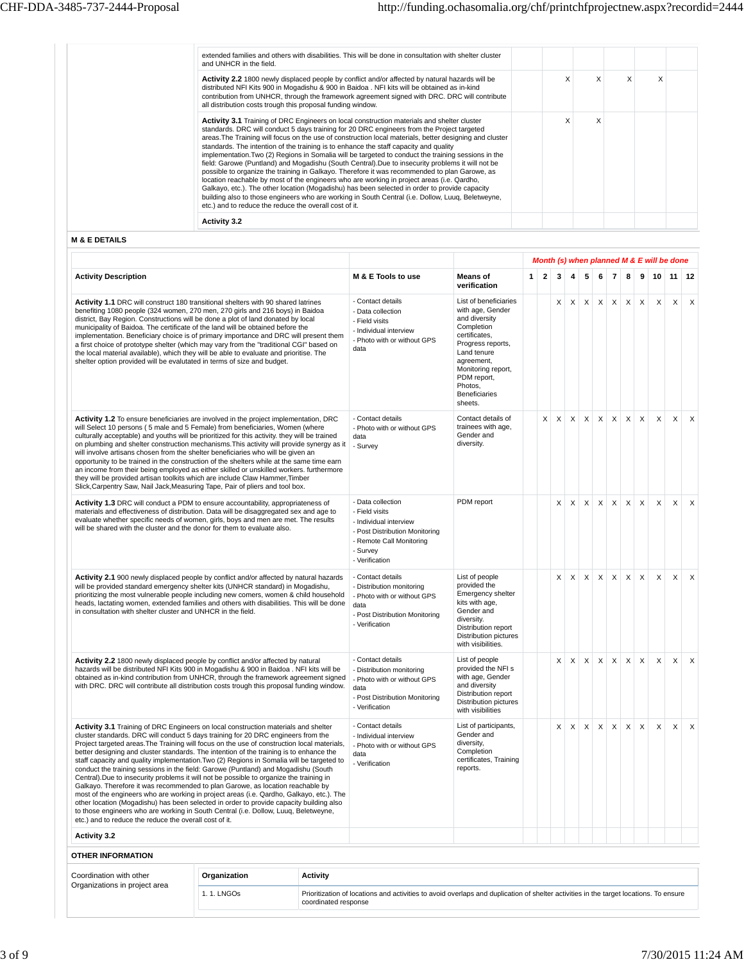| extended families and others with disabilities. This will be done in consultation with shelter cluster<br>and UNHCR in the field.                                                                                                                                                                                                                                                                                                                                                                                                                                                                                                                                                                                                                                                                                                                                                                                                                                                                                                                                              |  |   |   |  |
|--------------------------------------------------------------------------------------------------------------------------------------------------------------------------------------------------------------------------------------------------------------------------------------------------------------------------------------------------------------------------------------------------------------------------------------------------------------------------------------------------------------------------------------------------------------------------------------------------------------------------------------------------------------------------------------------------------------------------------------------------------------------------------------------------------------------------------------------------------------------------------------------------------------------------------------------------------------------------------------------------------------------------------------------------------------------------------|--|---|---|--|
| Activity 2.2 1800 newly displaced people by conflict and/or affected by natural hazards will be<br>distributed NFI Kits 900 in Mogadishu & 900 in Baidoa . NFI kits will be obtained as in-kind<br>contribution from UNHCR, through the framework agreement signed with DRC. DRC will contribute<br>all distribution costs trough this proposal funding window.                                                                                                                                                                                                                                                                                                                                                                                                                                                                                                                                                                                                                                                                                                                |  |   | X |  |
| <b>Activity 3.1</b> Training of DRC Engineers on local construction materials and shelter cluster<br>standards. DRC will conduct 5 days training for 20 DRC engineers from the Project targeted<br>areas. The Training will focus on the use of construction local materials, better designing and cluster<br>standards. The intention of the training is to enhance the staff capacity and quality<br>implementation. Two (2) Regions in Somalia will be targeted to conduct the training sessions in the<br>field: Garowe (Puntland) and Mogadishu (South Central). Due to insecurity problems it will not be<br>possible to organize the training in Galkayo. Therefore it was recommended to plan Garowe, as<br>location reachable by most of the engineers who are working in project areas (i.e. Qardho,<br>Galkayo, etc.). The other location (Mogadishu) has been selected in order to provide capacity<br>building also to those engineers who are working in South Central (i.e. Dollow, Luug, Beletweyne,<br>etc.) and to reduce the reduce the overall cost of it. |  | X |   |  |
| <b>Activity 3.2</b>                                                                                                                                                                                                                                                                                                                                                                                                                                                                                                                                                                                                                                                                                                                                                                                                                                                                                                                                                                                                                                                            |  |   |   |  |

**M & E DETAILS**

|                                                                                                                                                                                                                                                                                                                                                                                                                                                                                                                                                                                                                                                                                                                                                                                                                                                                                                                                                                                                                                                                           |                                                                                                                                                           |                                                                                                                                                                                                                                |              |              |              |              |              |              |                |              |                           |              | Month (s) when planned M & E will be done |                           |
|---------------------------------------------------------------------------------------------------------------------------------------------------------------------------------------------------------------------------------------------------------------------------------------------------------------------------------------------------------------------------------------------------------------------------------------------------------------------------------------------------------------------------------------------------------------------------------------------------------------------------------------------------------------------------------------------------------------------------------------------------------------------------------------------------------------------------------------------------------------------------------------------------------------------------------------------------------------------------------------------------------------------------------------------------------------------------|-----------------------------------------------------------------------------------------------------------------------------------------------------------|--------------------------------------------------------------------------------------------------------------------------------------------------------------------------------------------------------------------------------|--------------|--------------|--------------|--------------|--------------|--------------|----------------|--------------|---------------------------|--------------|-------------------------------------------|---------------------------|
| <b>Activity Description</b>                                                                                                                                                                                                                                                                                                                                                                                                                                                                                                                                                                                                                                                                                                                                                                                                                                                                                                                                                                                                                                               | M & E Tools to use                                                                                                                                        | <b>Means of</b><br>verification                                                                                                                                                                                                | $\mathbf{1}$ | $\mathbf{2}$ | $\mathbf{3}$ | 4            | 5            | 6            | $\overline{7}$ | 8            | 9                         | 10           | 11 <sup>1</sup>                           | 12                        |
| Activity 1.1 DRC will construct 180 transitional shelters with 90 shared latrines<br>benefiting 1080 people (324 women, 270 men, 270 girls and 216 boys) in Baidoa<br>district, Bay Region. Constructions will be done a plot of land donated by local<br>municipality of Baidoa. The certificate of the land will be obtained before the<br>implementation. Beneficiary choice is of primary importance and DRC will present them<br>a first choice of prototype shelter (which may vary from the "traditional CGI" based on<br>the local material available), which they will be able to evaluate and prioritise. The<br>shelter option provided will be evalutated in terms of size and budget.                                                                                                                                                                                                                                                                                                                                                                        | - Contact details<br>- Data collection<br>- Field visits<br>- Individual interview<br>- Photo with or without GPS<br>data                                 | List of beneficiaries<br>with age, Gender<br>and diversity<br>Completion<br>certificates.<br>Progress reports,<br>Land tenure<br>agreement,<br>Monitoring report,<br>PDM report,<br>Photos.<br><b>Beneficiaries</b><br>sheets. |              |              | X            | $\times$     | $\mathsf{X}$ | X            | $\times$       | $\times$     | $\times$                  | $\mathsf{x}$ | $\mathsf{X}$                              | $\times$                  |
| Activity 1.2 To ensure beneficiaries are involved in the project implementation, DRC<br>will Select 10 persons (5 male and 5 Female) from beneficiaries, Women (where<br>culturally acceptable) and youths will be prioritized for this activity, they will be trained<br>on plumbing and shelter construction mechanisms. This activity will provide synergy as it<br>will involve artisans chosen from the shelter beneficiaries who will be given an<br>opportunity to be trained in the construction of the shelters while at the same time earn<br>an income from their being employed as either skilled or unskilled workers. furthermore<br>they will be provided artisan toolkits which are include Claw Hammer, Timber<br>Slick, Carpentry Saw, Nail Jack, Measuring Tape, Pair of pliers and tool box.                                                                                                                                                                                                                                                          | - Contact details<br>- Photo with or without GPS<br>data<br>- Survey                                                                                      | Contact details of<br>trainees with age,<br>Gender and<br>diversity.                                                                                                                                                           |              | X            | X            | $\times$     | $\times$     | X            | $\mathsf{X}$   | $\times$     | $\mathsf{X}$              | $\mathsf{x}$ | $\mathsf{x}$                              | $\times$                  |
| Activity 1.3 DRC will conduct a PDM to ensure accountability, appropriateness of<br>materials and effectiveness of distribution. Data will be disaggregated sex and age to<br>evaluate whether specific needs of women, girls, boys and men are met. The results<br>will be shared with the cluster and the donor for them to evaluate also.                                                                                                                                                                                                                                                                                                                                                                                                                                                                                                                                                                                                                                                                                                                              | - Data collection<br>- Field visits<br>- Individual interview<br>- Post Distribution Monitoring<br>- Remote Call Monitoring<br>- Survey<br>- Verification | PDM report                                                                                                                                                                                                                     |              |              | X            | $\times$     | $\times$     | $\mathsf{X}$ | $\times$       | $\times$     | $\boldsymbol{\mathsf{X}}$ | $\mathsf{x}$ | $\times$                                  | $\mathsf{x}$              |
| Activity 2.1 900 newly displaced people by conflict and/or affected by natural hazards<br>will be provided standard emergency shelter kits (UNHCR standard) in Mogadishu,<br>prioritizing the most vulnerable people including new comers, women & child household<br>heads, lactating women, extended families and others with disabilities. This will be done<br>in consultation with shelter cluster and UNHCR in the field.                                                                                                                                                                                                                                                                                                                                                                                                                                                                                                                                                                                                                                           | - Contact details<br>- Distribution monitoring<br>- Photo with or without GPS<br>data<br>- Post Distribution Monitoring<br>- Verification                 | List of people<br>provided the<br>Emergency shelter<br>kits with age,<br>Gender and<br>diversity.<br>Distribution report<br>Distribution pictures<br>with visibilities.                                                        |              |              | X            | $\times$     | $\mathsf{X}$ | $\mathsf{X}$ | $\times$       | $\times$     | $\times$                  | $\mathsf{X}$ | $\times$                                  | $\times$                  |
| Activity 2.2 1800 newly displaced people by conflict and/or affected by natural<br>hazards will be distributed NFI Kits 900 in Mogadishu & 900 in Baidoa . NFI kits will be<br>obtained as in-kind contribution from UNHCR, through the framework agreement signed<br>with DRC. DRC will contribute all distribution costs trough this proposal funding window.                                                                                                                                                                                                                                                                                                                                                                                                                                                                                                                                                                                                                                                                                                           | - Contact details<br>- Distribution monitoring<br>- Photo with or without GPS<br>data<br>- Post Distribution Monitoring<br>- Verification                 | List of people<br>provided the NFI s<br>with age, Gender<br>and diversity<br>Distribution report<br>Distribution pictures<br>with visibilities                                                                                 |              |              | X            | $\mathsf{x}$ | $\mathsf{X}$ | $\mathsf{X}$ | X              | X            | $\boldsymbol{\mathsf{X}}$ | $\mathsf{X}$ | $\mathsf{X}$                              | $\boldsymbol{\mathsf{X}}$ |
| Activity 3.1 Training of DRC Engineers on local construction materials and shelter<br>cluster standards. DRC will conduct 5 days training for 20 DRC engineers from the<br>Project targeted areas. The Training will focus on the use of construction local materials,<br>better designing and cluster standards. The intention of the training is to enhance the<br>staff capacity and quality implementation. Two (2) Regions in Somalia will be targeted to<br>conduct the training sessions in the field: Garowe (Puntland) and Mogadishu (South<br>Central).Due to insecurity problems it will not be possible to organize the training in<br>Galkayo. Therefore it was recommended to plan Garowe, as location reachable by<br>most of the engineers who are working in project areas (i.e. Qardho, Galkayo, etc.). The<br>other location (Mogadishu) has been selected in order to provide capacity building also<br>to those engineers who are working in South Central (i.e. Dollow, Luug, Beletweyne,<br>etc.) and to reduce the reduce the overall cost of it. | - Contact details<br>- Individual interview<br>- Photo with or without GPS<br>data<br>- Verification                                                      | List of participants,<br>Gender and<br>diversity,<br>Completion<br>certificates, Training<br>reports.                                                                                                                          |              |              | X            | X            | X            | X            | X              | $\mathsf{X}$ | $\mathsf X$               | $\mathsf{X}$ | X                                         | $\mathsf{x}$              |
| <b>Activity 3.2</b>                                                                                                                                                                                                                                                                                                                                                                                                                                                                                                                                                                                                                                                                                                                                                                                                                                                                                                                                                                                                                                                       |                                                                                                                                                           |                                                                                                                                                                                                                                |              |              |              |              |              |              |                |              |                           |              |                                           |                           |
| <b>OTHER INFORMATION</b>                                                                                                                                                                                                                                                                                                                                                                                                                                                                                                                                                                                                                                                                                                                                                                                                                                                                                                                                                                                                                                                  |                                                                                                                                                           |                                                                                                                                                                                                                                |              |              |              |              |              |              |                |              |                           |              |                                           |                           |

| Coordination with other       | Organization | Activity                                                                                                                                                      |
|-------------------------------|--------------|---------------------------------------------------------------------------------------------------------------------------------------------------------------|
| Organizations in project area | I. 1. LNGOs  | Prioritization of locations and activities to avoid overlaps and duplication of shelter activities in the target locations. To ensure<br>coordinated response |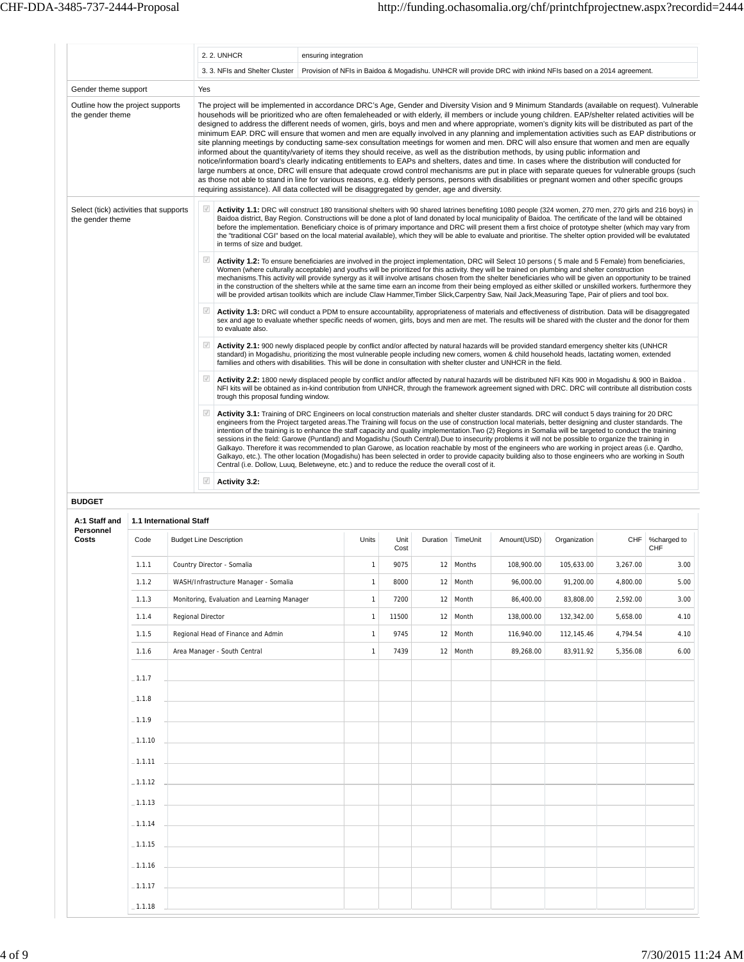|                                                            | 2. 2. UNHCR                                              | ensuring integration                                                                                                                                                                                                                                                                                                                                                                                                                                                                                                                                                                                                                                                                                                                                                                                                                                                                                                                                                                                                                                                                                                                                                                                                                                                                                                                                                                                                                                                            |
|------------------------------------------------------------|----------------------------------------------------------|---------------------------------------------------------------------------------------------------------------------------------------------------------------------------------------------------------------------------------------------------------------------------------------------------------------------------------------------------------------------------------------------------------------------------------------------------------------------------------------------------------------------------------------------------------------------------------------------------------------------------------------------------------------------------------------------------------------------------------------------------------------------------------------------------------------------------------------------------------------------------------------------------------------------------------------------------------------------------------------------------------------------------------------------------------------------------------------------------------------------------------------------------------------------------------------------------------------------------------------------------------------------------------------------------------------------------------------------------------------------------------------------------------------------------------------------------------------------------------|
|                                                            |                                                          | 3. 3. NFIs and Shelter Cluster   Provision of NFIs in Baidoa & Mogadishu. UNHCR will provide DRC with inkind NFIs based on a 2014 agreement.                                                                                                                                                                                                                                                                                                                                                                                                                                                                                                                                                                                                                                                                                                                                                                                                                                                                                                                                                                                                                                                                                                                                                                                                                                                                                                                                    |
| Gender theme support                                       | Yes                                                      |                                                                                                                                                                                                                                                                                                                                                                                                                                                                                                                                                                                                                                                                                                                                                                                                                                                                                                                                                                                                                                                                                                                                                                                                                                                                                                                                                                                                                                                                                 |
| Outline how the project supports<br>the gender theme       |                                                          | The project will be implemented in accordance DRC's Age, Gender and Diversity Vision and 9 Minimum Standards (available on request). Vulnerable<br>househods will be prioritized who are often femaleheaded or with elderly, ill members or include young children. EAP/shelter related activities will be<br>designed to address the different needs of women, girls, boys and men and where appropriate, women's dignity kits will be distributed as part of the<br>minimum EAP. DRC will ensure that women and men are equally involved in any planning and implementation activities such as EAP distributions or<br>site planning meetings by conducting same-sex consultation meetings for women and men. DRC will also ensure that women and men are equally<br>informed about the quantity/variety of items they should receive, as well as the distribution methods, by using public information and<br>notice/information board's clearly indicating entitlements to EAPs and shelters, dates and time. In cases where the distribution will conducted for<br>large numbers at once, DRC will ensure that adequate crowd control mechanisms are put in place with separate queues for vulnerable groups (such<br>as those not able to stand in line for various reasons, e.g. elderly persons, persons with disabilities or pregnant women and other specific groups<br>requiring assistance). All data collected will be disaggregated by gender, age and diversity. |
| Select (tick) activities that supports<br>the gender theme | $\overline{\mathcal{A}}$<br>in terms of size and budget. | Activity 1.1: DRC will construct 180 transitional shelters with 90 shared latrines benefiting 1080 people (324 women, 270 men, 270 girls and 216 boys) in<br>Baidoa district, Bay Region. Constructions will be done a plot of land donated by local municipality of Baidoa. The certificate of the land will be obtained<br>before the implementation. Beneficiary choice is of primary importance and DRC will present them a first choice of prototype shelter (which may vary from<br>the "traditional CGI" based on the local material available), which they will be able to evaluate and prioritise. The shelter option provided will be evalutated                                                                                                                                                                                                                                                                                                                                                                                                                                                                                                                                                                                                                                                                                                                                                                                                                      |
|                                                            | $\checkmark$                                             | Activity 1.2: To ensure beneficiaries are involved in the project implementation, DRC will Select 10 persons (5 male and 5 Female) from beneficiaries,<br>Women (where culturally acceptable) and youths will be prioritized for this activity. they will be trained on plumbing and shelter construction<br>mechanisms. This activity will provide synergy as it will involve artisans chosen from the shelter beneficiaries who will be given an opportunity to be trained<br>in the construction of the shelters while at the same time earn an income from their being employed as either skilled or unskilled workers, furthermore they<br>will be provided artisan toolkits which are include Claw Hammer, Timber Slick, Carpentry Saw, Nail Jack, Measuring Tape, Pair of pliers and tool box.                                                                                                                                                                                                                                                                                                                                                                                                                                                                                                                                                                                                                                                                           |
|                                                            | $\sqrt{ }$<br>to evaluate also.                          | Activity 1.3: DRC will conduct a PDM to ensure accountability, appropriateness of materials and effectiveness of distribution. Data will be disaggregated<br>sex and age to evaluate whether specific needs of women, girls, boys and men are met. The results will be shared with the cluster and the donor for them                                                                                                                                                                                                                                                                                                                                                                                                                                                                                                                                                                                                                                                                                                                                                                                                                                                                                                                                                                                                                                                                                                                                                           |
|                                                            | $\sqrt{}$                                                | Activity 2.1: 900 newly displaced people by conflict and/or affected by natural hazards will be provided standard emergency shelter kits (UNHCR<br>standard) in Mogadishu, prioritizing the most vulnerable people including new comers, women & child household heads, lactating women, extended<br>families and others with disabilities. This will be done in consultation with shelter cluster and UNHCR in the field.                                                                                                                                                                                                                                                                                                                                                                                                                                                                                                                                                                                                                                                                                                                                                                                                                                                                                                                                                                                                                                                      |
|                                                            | $\sqrt{ }$<br>trough this proposal funding window.       | Activity 2.2: 1800 newly displaced people by conflict and/or affected by natural hazards will be distributed NFI Kits 900 in Mogadishu & 900 in Baidoa.<br>NFI kits will be obtained as in-kind contribution from UNHCR, through the framework agreement signed with DRC. DRC will contribute all distribution costs                                                                                                                                                                                                                                                                                                                                                                                                                                                                                                                                                                                                                                                                                                                                                                                                                                                                                                                                                                                                                                                                                                                                                            |
|                                                            | $\sqrt{ }$                                               | Activity 3.1: Training of DRC Engineers on local construction materials and shelter cluster standards. DRC will conduct 5 days training for 20 DRC<br>engineers from the Project targeted areas. The Training will focus on the use of construction local materials, better designing and cluster standards. The<br>intention of the training is to enhance the staff capacity and quality implementation. Two (2) Regions in Somalia will be targeted to conduct the training<br>sessions in the field: Garowe (Puntland) and Mogadishu (South Central).Due to insecurity problems it will not be possible to organize the training in<br>Galkayo. Therefore it was recommended to plan Garowe, as location reachable by most of the engineers who are working in project areas (i.e. Qardho,<br>Galkayo, etc.). The other location (Mogadishu) has been selected in order to provide capacity building also to those engineers who are working in South<br>Central (i.e. Dollow, Luuq, Beletweyne, etc.) and to reduce the reduce the overall cost of it.                                                                                                                                                                                                                                                                                                                                                                                                                     |
|                                                            | $\sqrt{}$<br>Activity 3.2:                               |                                                                                                                                                                                                                                                                                                                                                                                                                                                                                                                                                                                                                                                                                                                                                                                                                                                                                                                                                                                                                                                                                                                                                                                                                                                                                                                                                                                                                                                                                 |

**BUDGET**

| A:1 Staff and      |           | 1.1 International Staff                                                    |              |              |                   |             |              |          |                        |
|--------------------|-----------|----------------------------------------------------------------------------|--------------|--------------|-------------------|-------------|--------------|----------|------------------------|
| Personnel<br>Costs | Code      | <b>Budget Line Description</b>                                             | Units        | Unit<br>Cost | Duration TimeUnit | Amount(USD) | Organization |          | CHF %charged to<br>CHF |
|                    | 1.1.1     | Country Director - Somalia                                                 | $\mathbf{1}$ | 9075         | 12 Months         | 108,900.00  | 105,633.00   | 3,267.00 | 3.00                   |
|                    | 1.1.2     | WASH/Infrastructure Manager - Somalia                                      | $\mathbf{1}$ | 8000         | 12 Month          | 96,000.00   | 91,200.00    | 4,800.00 | 5.00                   |
|                    | 1.1.3     | Monitoring, Evaluation and Learning Manager                                | $\mathbf{1}$ | 7200         | 12 Month          | 86,400.00   | 83,808.00    | 2,592.00 | 3.00                   |
|                    | 1.1.4     | Regional Director                                                          | $\mathbf{1}$ | 11500        | 12 Month          | 138,000.00  | 132,342.00   | 5,658.00 | 4.10                   |
|                    | 1.1.5     | Regional Head of Finance and Admin                                         | $\mathbf{1}$ | 9745         | 12 Month          | 116,940.00  | 112,145.46   | 4,794.54 | 4.10                   |
|                    | 1.1.6     | Area Manager - South Central                                               | $\mathbf{1}$ | 7439         | 12 Month          | 89,268.00   | 83,911.92    | 5,356.08 | 6.00                   |
|                    | $-1.1.7$  |                                                                            |              |              |                   |             |              |          |                        |
|                    | $-1.1.8$  |                                                                            |              |              |                   |             |              |          |                        |
|                    | $-1.1.9$  |                                                                            |              |              |                   |             |              |          |                        |
|                    | $-1.1.10$ |                                                                            |              |              |                   |             |              |          |                        |
|                    | $-1.1.11$ | the control of the control of the control of the control of the control of |              |              |                   |             |              |          |                        |
|                    | $-1.1.12$ |                                                                            |              |              |                   |             |              |          |                        |
|                    | $-1.1.13$ |                                                                            |              |              |                   |             |              |          |                        |
|                    | $-1.1.14$ | the control of the control of the control of the control of the control of |              |              |                   |             |              |          |                        |
|                    | $-1.1.15$ | the control of the control of the control of the control of                |              |              |                   |             |              |          |                        |
|                    | $-1.1.16$ |                                                                            |              |              |                   |             |              |          |                        |
|                    | $-1.1.17$ |                                                                            |              |              |                   |             |              |          |                        |
|                    | $-1.1.18$ |                                                                            |              |              |                   |             |              |          |                        |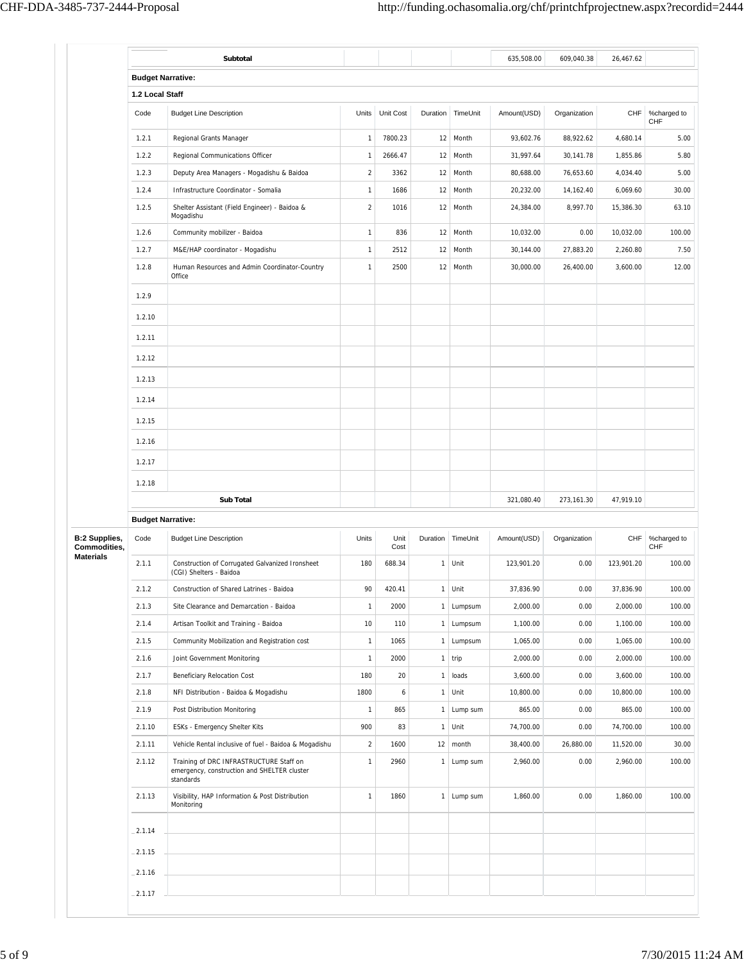|                                               | <b>Budget Narrative:</b>                                                                            |                  |              |              |                        |             |              |            |                    |
|-----------------------------------------------|-----------------------------------------------------------------------------------------------------|------------------|--------------|--------------|------------------------|-------------|--------------|------------|--------------------|
| 1.2 Local Staff                               |                                                                                                     |                  |              |              |                        |             |              |            |                    |
| Code                                          | <b>Budget Line Description</b>                                                                      | Units            | Unit Cost    |              | Duration TimeUnit      | Amount(USD) | Organization | CHF        | %charged to<br>CHF |
| 1.2.1                                         | Regional Grants Manager                                                                             | $\mathbf{1}$     | 7800.23      | 12           | Month                  | 93,602.76   | 88,922.62    | 4,680.14   | 5.00               |
| 1.2.2                                         | Regional Communications Officer                                                                     | $\overline{1}$   | 2666.47      | 12           | Month                  | 31,997.64   | 30,141.78    | 1,855.86   | 5.80               |
| 1.2.3                                         | Deputy Area Managers - Mogadishu & Baidoa                                                           | $\boldsymbol{2}$ | 3362         | 12           | Month                  | 80,688.00   | 76,653.60    | 4,034.40   | 5.00               |
| 1.2.4                                         | Infrastructure Coordinator - Somalia                                                                | $\mathbf{1}$     | 1686         | 12           | Month                  | 20,232.00   | 14,162.40    | 6,069.60   | 30.00              |
| 1.2.5                                         | Shelter Assistant (Field Engineer) - Baidoa &<br>Mogadishu                                          | $\boldsymbol{2}$ | 1016         | 12           | Month                  | 24,384.00   | 8,997.70     | 15,386.30  | 63.10              |
| 1.2.6                                         | Community mobilizer - Baidoa                                                                        | $\mathbf{1}$     | 836          | 12           | Month                  | 10,032.00   | 0.00         | 10,032.00  | 100.00             |
| 1.2.7                                         | M&E/HAP coordinator - Mogadishu                                                                     | $\mathbf{1}$     | 2512         | 12           | Month                  | 30,144.00   | 27,883.20    | 2,260.80   | 7.50               |
| 1.2.8                                         | Human Resources and Admin Coordinator-Country<br>Office                                             | $\mathbf{1}$     | 2500         | 12           | Month                  | 30,000.00   | 26,400.00    | 3,600.00   | 12.00              |
| 1.2.9                                         |                                                                                                     |                  |              |              |                        |             |              |            |                    |
| 1.2.10                                        |                                                                                                     |                  |              |              |                        |             |              |            |                    |
| 1.2.11                                        |                                                                                                     |                  |              |              |                        |             |              |            |                    |
| 1.2.12                                        |                                                                                                     |                  |              |              |                        |             |              |            |                    |
| 1.2.13                                        |                                                                                                     |                  |              |              |                        |             |              |            |                    |
| 1.2.14                                        |                                                                                                     |                  |              |              |                        |             |              |            |                    |
| 1.2.15                                        |                                                                                                     |                  |              |              |                        |             |              |            |                    |
|                                               |                                                                                                     |                  |              |              |                        |             |              |            |                    |
| 1.2.16                                        |                                                                                                     |                  |              |              |                        |             |              |            |                    |
| 1.2.17                                        |                                                                                                     |                  |              |              |                        |             |              |            |                    |
| 1.2.18                                        |                                                                                                     |                  |              |              |                        |             |              |            |                    |
|                                               | <b>Sub Total</b>                                                                                    |                  |              |              |                        | 321,080.40  | 273,161.30   | 47,919.10  |                    |
|                                               |                                                                                                     |                  |              |              |                        |             |              |            |                    |
| <b>Budget Narrative:</b>                      |                                                                                                     |                  |              |              |                        |             |              |            |                    |
| Code                                          | <b>Budget Line Description</b>                                                                      | Units            | Unit<br>Cost | Duration     | TimeUnit               | Amount(USD) | Organization | <b>CHF</b> | %charged to<br>CHF |
| 2.1.1                                         | Construction of Corrugated Galvanized Ironsheet<br>(CGI) Shelters - Baidoa                          | 180              | 688.34       | $\mathbf{1}$ | Unit                   | 123,901.20  | 0.00         | 123,901.20 |                    |
| 2.1.2                                         | Construction of Shared Latrines - Baidoa                                                            | 90               | 420.41       | $\mathbf{1}$ | Unit                   | 37,836.90   | 0.00         | 37,836.90  | 100.00<br>100.00   |
| 2.1.3                                         | Site Clearance and Demarcation - Baidoa                                                             | $\mathbf{1}$     | 2000         |              | 1 Lumpsum              | 2,000.00    | 0.00         | 2,000.00   |                    |
| 2.1.4                                         | Artisan Toolkit and Training - Baidoa                                                               | 10               | 110          |              | 1 Lumpsum              | 1,100.00    | 0.00         | 1,100.00   | 100.00<br>100.00   |
| 2.1.5                                         | Community Mobilization and Registration cost                                                        | $\mathbf{1}$     | 1065         | $\mathbf{1}$ | Lumpsum                | 1,065.00    | 0.00         | 1,065.00   | 100.00             |
| <b>B:2 Supplies,</b><br>Commodities,<br>2.1.6 | Joint Government Monitoring                                                                         | $\mathbf{1}$     | 2000         | $\mathbf{1}$ | trip                   | 2,000.00    | 0.00         | 2,000.00   | 100.00             |
| 2.1.7                                         | Beneficiary Relocation Cost                                                                         | 180              | 20           | $\mathbf{1}$ | loads                  | 3,600.00    | 0.00         | 3,600.00   |                    |
| 2.1.8                                         | NFI Distribution - Baidoa & Mogadishu                                                               | 1800             | 6            | $\mathbf{1}$ | Unit                   | 10,800.00   | 0.00         | 10,800.00  | 100.00<br>100.00   |
| 2.1.9                                         | Post Distribution Monitoring                                                                        | $\mathbf{1}$     | 865          | $\mathbf{1}$ | Lump sum               | 865.00      | 0.00         | 865.00     | 100.00             |
| 2.1.10                                        | ESKs - Emergency Shelter Kits                                                                       | 900              | 83           | $\mathbf{1}$ | Unit                   | 74,700.00   | 0.00         | 74,700.00  | 100.00             |
| 2.1.11                                        | Vehicle Rental inclusive of fuel - Baidoa & Mogadishu                                               | $\sqrt{2}$       | 1600         |              | $12 \mid \text{month}$ | 38,400.00   | 26,880.00    | 11,520.00  | 30.00              |
| 2.1.12                                        | Training of DRC INFRASTRUCTURE Staff on<br>emergency, construction and SHELTER cluster<br>standards | $\mathbf{1}$     | 2960         | $\mathbf{1}$ | Lump sum               | 2,960.00    | 0.00         | 2,960.00   |                    |
| 2.1.13                                        | Visibility, HAP Information & Post Distribution<br>Monitoring                                       | $\mathbf{1}$     | 1860         |              | 1 Lump sum             | 1,860.00    | 0.00         | 1,860.00   |                    |
| $-2.1.14$                                     |                                                                                                     |                  |              |              |                        |             |              |            |                    |
| $-2.1.15$                                     |                                                                                                     |                  |              |              |                        |             |              |            | 100.00<br>100.00   |
| $-2.1.16$                                     |                                                                                                     |                  |              |              |                        |             |              |            |                    |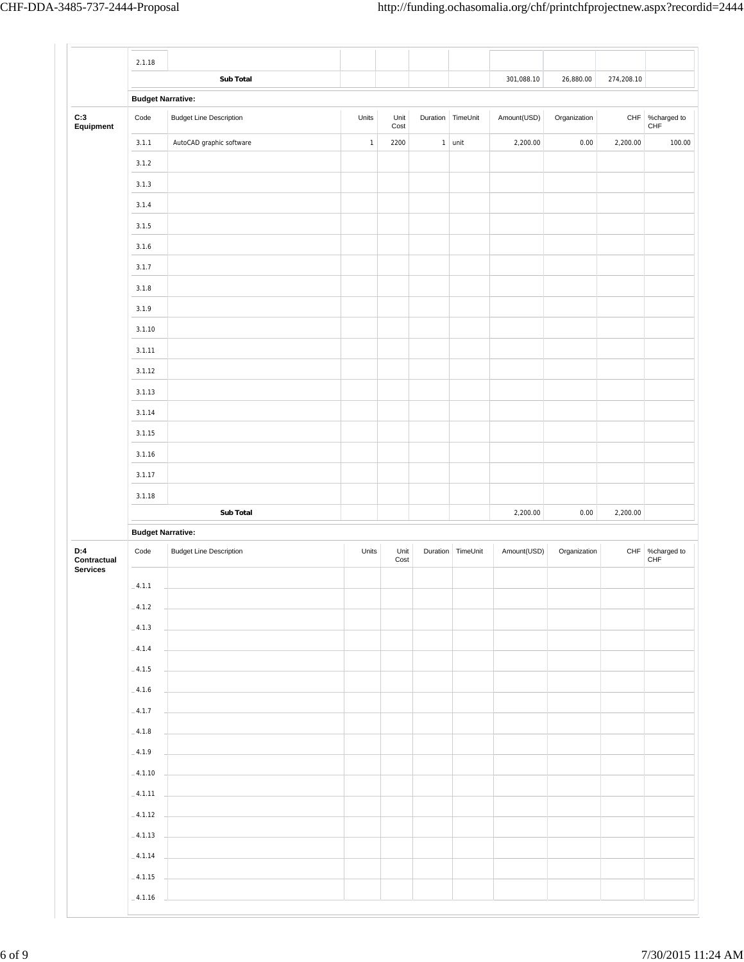|                                       | 2.1.18                   |                                |             |              |   |                   |             |              |            |                        |
|---------------------------------------|--------------------------|--------------------------------|-------------|--------------|---|-------------------|-------------|--------------|------------|------------------------|
|                                       |                          | Sub Total                      |             |              |   |                   | 301,088.10  | 26,880.00    | 274,208.10 |                        |
|                                       | <b>Budget Narrative:</b> |                                |             |              |   |                   |             |              |            |                        |
| C:3<br>Equipment                      | Code                     | <b>Budget Line Description</b> | Units       | Unit<br>Cost |   | Duration TimeUnit | Amount(USD) | Organization |            | CHF %charged to<br>CHF |
|                                       | 3.1.1                    | AutoCAD graphic software       | $\mathbf 1$ | 2200         | 1 | unit              | 2,200.00    | 0.00         | 2,200.00   | 100.00                 |
|                                       | 3.1.2                    |                                |             |              |   |                   |             |              |            |                        |
|                                       | 3.1.3                    |                                |             |              |   |                   |             |              |            |                        |
|                                       | 3.1.4                    |                                |             |              |   |                   |             |              |            |                        |
|                                       | 3.1.5                    |                                |             |              |   |                   |             |              |            |                        |
|                                       | 3.1.6                    |                                |             |              |   |                   |             |              |            |                        |
|                                       | 3.1.7                    |                                |             |              |   |                   |             |              |            |                        |
|                                       | 3.1.8                    |                                |             |              |   |                   |             |              |            |                        |
|                                       | 3.1.9                    |                                |             |              |   |                   |             |              |            |                        |
|                                       | 3.1.10                   |                                |             |              |   |                   |             |              |            |                        |
|                                       | 3.1.11                   |                                |             |              |   |                   |             |              |            |                        |
|                                       | 3.1.12                   |                                |             |              |   |                   |             |              |            |                        |
|                                       | 3.1.13                   |                                |             |              |   |                   |             |              |            |                        |
|                                       | 3.1.14                   |                                |             |              |   |                   |             |              |            |                        |
|                                       | 3.1.15                   |                                |             |              |   |                   |             |              |            |                        |
|                                       | 3.1.16                   |                                |             |              |   |                   |             |              |            |                        |
|                                       | 3.1.17                   |                                |             |              |   |                   |             |              |            |                        |
|                                       | 3.1.18                   |                                |             |              |   |                   |             |              |            |                        |
|                                       |                          | Sub Total                      |             |              |   |                   | 2,200.00    | 0.00         | 2,200.00   |                        |
|                                       | <b>Budget Narrative:</b> |                                |             |              |   |                   |             |              |            |                        |
| D:4<br>Contractual<br><b>Services</b> | Code                     | <b>Budget Line Description</b> | Units       | Unit<br>Cost |   | Duration TimeUnit | Amount(USD) | Organization |            | CHF %charged to<br>CHF |
|                                       | $-4.1.1$                 |                                |             |              |   |                   |             |              |            |                        |
|                                       | $-4.1.2$                 |                                |             |              |   |                   |             |              |            |                        |
|                                       | $-4.1.3$                 |                                |             |              |   |                   |             |              |            |                        |
|                                       | $-4.1.4$                 |                                |             |              |   |                   |             |              |            |                        |
|                                       | $-4.1.5$                 |                                |             |              |   |                   |             |              |            |                        |
|                                       | $-4.1.6$                 |                                |             |              |   |                   |             |              |            |                        |
|                                       | $-4.1.7$                 |                                |             |              |   |                   |             |              |            |                        |
|                                       | $-4.1.8$                 |                                |             |              |   |                   |             |              |            |                        |
|                                       | $-4.1.9$                 |                                |             |              |   |                   |             |              |            |                        |
|                                       | $-4.1.10$                |                                |             |              |   |                   |             |              |            |                        |
|                                       | $-4.1.11$                |                                |             |              |   |                   |             |              |            |                        |
|                                       | $-4.1.12$                |                                |             |              |   |                   |             |              |            |                        |
|                                       | $-4.1.13$                |                                |             |              |   |                   |             |              |            |                        |
|                                       | $-4.1.14$                |                                |             |              |   |                   |             |              |            |                        |
|                                       | $-4.1.15$                |                                |             |              |   |                   |             |              |            |                        |
|                                       | $-4.1.16$                |                                |             |              |   |                   |             |              |            |                        |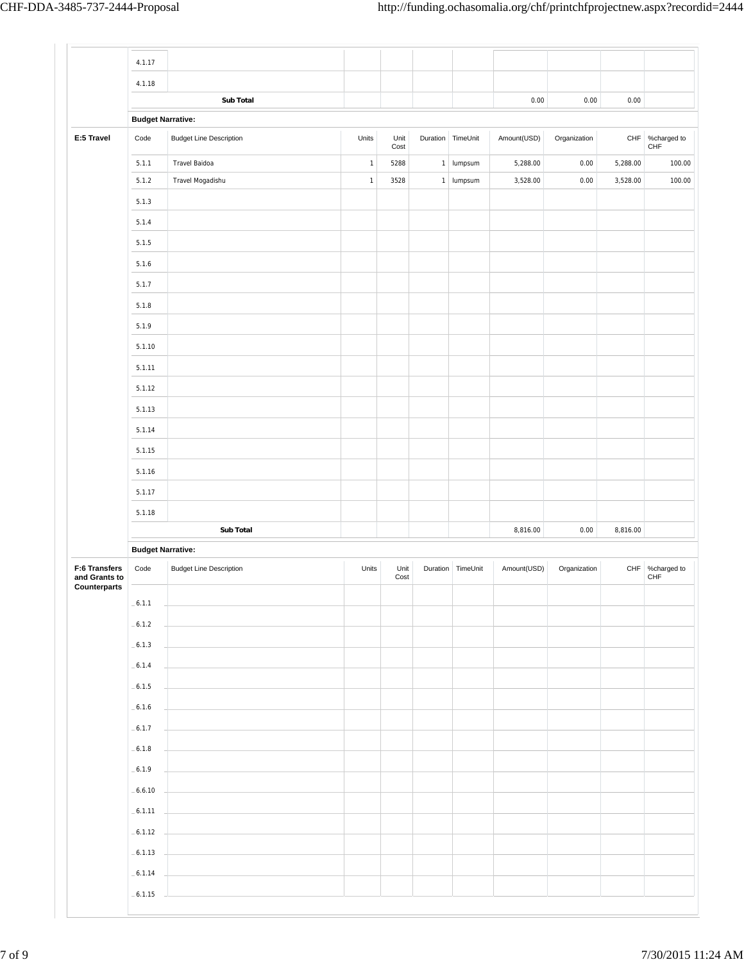|                                                | 4.1.17                   |                                |             |              |              |                   |             |              |          |                                |
|------------------------------------------------|--------------------------|--------------------------------|-------------|--------------|--------------|-------------------|-------------|--------------|----------|--------------------------------|
|                                                | 4.1.18                   |                                |             |              |              |                   |             |              |          |                                |
|                                                |                          | <b>Sub Total</b>               |             |              |              |                   | 0.00        | 0.00         | 0.00     |                                |
|                                                | <b>Budget Narrative:</b> |                                |             |              |              |                   |             |              |          |                                |
| E:5 Travel                                     | Code                     | <b>Budget Line Description</b> | Units       | Unit<br>Cost |              | Duration TimeUnit | Amount(USD) | Organization |          | CHF %charged to<br>${\sf CHF}$ |
|                                                | 5.1.1                    | Travel Baidoa                  | $\mathbf 1$ | 5288         | $\mathbf{1}$ | lumpsum           | 5,288.00    | 0.00         | 5,288.00 | 100.00                         |
|                                                | 5.1.2                    | Travel Mogadishu               | $\mathbf 1$ | 3528         | $\mathbf{1}$ | lumpsum           | 3,528.00    | 0.00         | 3,528.00 | 100.00                         |
|                                                | 5.1.3                    |                                |             |              |              |                   |             |              |          |                                |
|                                                | 5.1.4                    |                                |             |              |              |                   |             |              |          |                                |
|                                                | 5.1.5                    |                                |             |              |              |                   |             |              |          |                                |
|                                                | 5.1.6                    |                                |             |              |              |                   |             |              |          |                                |
|                                                | 5.1.7                    |                                |             |              |              |                   |             |              |          |                                |
|                                                | 5.1.8                    |                                |             |              |              |                   |             |              |          |                                |
|                                                | 5.1.9                    |                                |             |              |              |                   |             |              |          |                                |
|                                                | 5.1.10                   |                                |             |              |              |                   |             |              |          |                                |
|                                                | 5.1.11                   |                                |             |              |              |                   |             |              |          |                                |
|                                                | 5.1.12                   |                                |             |              |              |                   |             |              |          |                                |
|                                                | 5.1.13                   |                                |             |              |              |                   |             |              |          |                                |
|                                                | 5.1.14                   |                                |             |              |              |                   |             |              |          |                                |
|                                                | 5.1.15                   |                                |             |              |              |                   |             |              |          |                                |
|                                                | 5.1.16                   |                                |             |              |              |                   |             |              |          |                                |
|                                                | 5.1.17                   |                                |             |              |              |                   |             |              |          |                                |
|                                                | 5.1.18                   |                                |             |              |              |                   |             |              |          |                                |
|                                                |                          | Sub Total                      |             |              |              |                   | 8,816.00    | 0.00         | 8,816.00 |                                |
|                                                | <b>Budget Narrative:</b> |                                |             |              |              |                   |             |              |          |                                |
| F:6 Transfers<br>and Grants to<br>Counterparts | Code                     | <b>Budget Line Description</b> | Units       | Unit<br>Cost | Duration     | TimeUnit          | Amount(USD) | Organization | CHF      | %charged to<br>CHF             |
|                                                | $-6.1.1$                 |                                |             |              |              |                   |             |              |          |                                |
|                                                | $-6.1.2$                 |                                |             |              |              |                   |             |              |          |                                |
|                                                | $-6.1.3$                 |                                |             |              |              |                   |             |              |          |                                |
|                                                | $-6.1.4$                 |                                |             |              |              |                   |             |              |          |                                |
|                                                | $-6.1.5$                 |                                |             |              |              |                   |             |              |          |                                |
|                                                | $-6.1.6$                 |                                |             |              |              |                   |             |              |          |                                |
|                                                | $-6.1.7$                 |                                |             |              |              |                   |             |              |          |                                |
|                                                | $-6.1.8$                 |                                |             |              |              |                   |             |              |          |                                |
|                                                |                          |                                |             |              |              |                   |             |              |          |                                |
|                                                | $-6.1.9$                 |                                |             |              |              |                   |             |              |          |                                |
|                                                | $-6.6.10$                |                                |             |              |              |                   |             |              |          |                                |
|                                                | $-6.1.11$                |                                |             |              |              |                   |             |              |          |                                |
|                                                | $-6.1.12$                |                                |             |              |              |                   |             |              |          |                                |
|                                                | $-6.1.13$                |                                |             |              |              |                   |             |              |          |                                |
|                                                | $-6.1.14$                |                                |             |              |              |                   |             |              |          |                                |
|                                                | $-6.1.15$                |                                |             |              |              |                   |             |              |          |                                |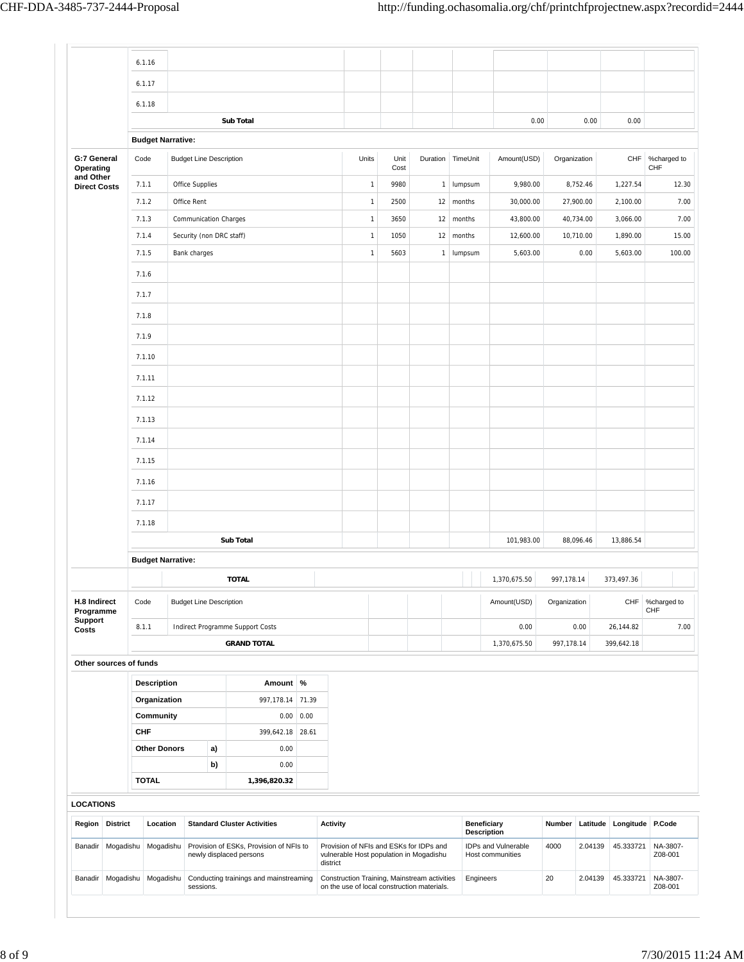|                                      | 6.1.17<br>6.1.18         |                                |                                                                    |       |                 |              |              |                                                                                             |        |                                          |                                         |              |           |                           |                           |
|--------------------------------------|--------------------------|--------------------------------|--------------------------------------------------------------------|-------|-----------------|--------------|--------------|---------------------------------------------------------------------------------------------|--------|------------------------------------------|-----------------------------------------|--------------|-----------|---------------------------|---------------------------|
|                                      |                          |                                |                                                                    |       |                 |              |              |                                                                                             |        |                                          |                                         |              |           |                           |                           |
|                                      |                          |                                |                                                                    |       |                 |              |              |                                                                                             |        |                                          |                                         |              |           |                           |                           |
|                                      |                          |                                | <b>Sub Total</b>                                                   |       |                 |              |              |                                                                                             |        |                                          | 0.00                                    |              | 0.00      | 0.00                      |                           |
|                                      | <b>Budget Narrative:</b> |                                |                                                                    |       |                 |              |              |                                                                                             |        |                                          |                                         |              |           |                           |                           |
| G:7 General<br>Operating             | Code                     | <b>Budget Line Description</b> |                                                                    |       |                 | Units        | Unit<br>Cost | Duration                                                                                    |        | TimeUnit                                 | Amount(USD)                             | Organization |           | <b>CHF</b>                | %charged to<br><b>CHF</b> |
| and Other<br><b>Direct Costs</b>     | 7.1.1                    | Office Supplies                |                                                                    |       |                 | $\mathbf{1}$ | 9980         | $\mathbf{1}$                                                                                |        | lumpsum                                  | 9,980.00                                |              | 8,752.46  | 1,227.54                  | 12.30                     |
|                                      | 7.1.2                    | Office Rent                    |                                                                    |       |                 | $\mathbf{1}$ | 2500         | 12                                                                                          | months |                                          | 30,000.00                               |              | 27,900.00 | 2,100.00                  | 7.00                      |
|                                      | 7.1.3                    | <b>Communication Charges</b>   |                                                                    |       |                 | $\mathbf{1}$ | 3650         | 12                                                                                          | months |                                          | 43,800.00                               |              | 40,734.00 | 3,066.00                  | 7.00                      |
|                                      | 7.1.4                    | Security (non DRC staff)       |                                                                    |       |                 | $\mathbf{1}$ | 1050         | 12                                                                                          | months |                                          | 12,600.00                               |              | 10,710.00 | 1,890.00                  | 15.00                     |
|                                      | 7.1.5                    | Bank charges                   |                                                                    |       |                 | $\mathbf{1}$ | 5603         | $\mathbf{1}$                                                                                |        | lumpsum                                  | 5,603.00                                |              | 0.00      | 5,603.00                  | 100.00                    |
|                                      | 7.1.6                    |                                |                                                                    |       |                 |              |              |                                                                                             |        |                                          |                                         |              |           |                           |                           |
|                                      | 7.1.7                    |                                |                                                                    |       |                 |              |              |                                                                                             |        |                                          |                                         |              |           |                           |                           |
|                                      | 7.1.8                    |                                |                                                                    |       |                 |              |              |                                                                                             |        |                                          |                                         |              |           |                           |                           |
|                                      | 7.1.9                    |                                |                                                                    |       |                 |              |              |                                                                                             |        |                                          |                                         |              |           |                           |                           |
|                                      | 7.1.10                   |                                |                                                                    |       |                 |              |              |                                                                                             |        |                                          |                                         |              |           |                           |                           |
|                                      | 7.1.11                   |                                |                                                                    |       |                 |              |              |                                                                                             |        |                                          |                                         |              |           |                           |                           |
|                                      | 7.1.12                   |                                |                                                                    |       |                 |              |              |                                                                                             |        |                                          |                                         |              |           |                           |                           |
|                                      | 7.1.13                   |                                |                                                                    |       |                 |              |              |                                                                                             |        |                                          |                                         |              |           |                           |                           |
|                                      | 7.1.14                   |                                |                                                                    |       |                 |              |              |                                                                                             |        |                                          |                                         |              |           |                           |                           |
|                                      | 7.1.15                   |                                |                                                                    |       |                 |              |              |                                                                                             |        |                                          |                                         |              |           |                           |                           |
|                                      | 7.1.16                   |                                |                                                                    |       |                 |              |              |                                                                                             |        |                                          |                                         |              |           |                           |                           |
|                                      | 7.1.17                   |                                |                                                                    |       |                 |              |              |                                                                                             |        |                                          |                                         |              |           |                           |                           |
|                                      |                          |                                |                                                                    |       |                 |              |              |                                                                                             |        |                                          |                                         |              |           |                           |                           |
|                                      | 7.1.18                   |                                | <b>Sub Total</b>                                                   |       |                 |              |              |                                                                                             |        |                                          | 101,983.00                              |              | 88,096.46 | 13,886.54                 |                           |
|                                      | <b>Budget Narrative:</b> |                                |                                                                    |       |                 |              |              |                                                                                             |        |                                          |                                         |              |           |                           |                           |
|                                      |                          |                                | <b>TOTAL</b>                                                       |       |                 |              |              |                                                                                             |        |                                          | 1,370,675.50                            | 997,178.14   |           | 373,497.36                |                           |
| H.8 Indirect                         | Code                     | <b>Budget Line Description</b> |                                                                    |       |                 |              |              |                                                                                             |        |                                          | Amount(USD)                             | Organization |           | CHF                       | %charged to               |
| Programme<br><b>Support</b><br>Costs | 8.1.1                    |                                | Indirect Programme Support Costs                                   |       |                 |              |              |                                                                                             |        |                                          | 0.00                                    |              | 0.00      | 26,144.82                 | CHF<br>7.00               |
|                                      |                          |                                | <b>GRAND TOTAL</b>                                                 |       |                 |              |              |                                                                                             |        |                                          | 1,370,675.50                            | 997,178.14   |           | 399,642.18                |                           |
| Other sources of funds               |                          |                                |                                                                    |       |                 |              |              |                                                                                             |        |                                          |                                         |              |           |                           |                           |
|                                      | <b>Description</b>       |                                | Amount %                                                           |       |                 |              |              |                                                                                             |        |                                          |                                         |              |           |                           |                           |
|                                      | Organization             |                                | 997,178.14                                                         | 71.39 |                 |              |              |                                                                                             |        |                                          |                                         |              |           |                           |                           |
|                                      | Community                |                                | 0.00                                                               | 0.00  |                 |              |              |                                                                                             |        |                                          |                                         |              |           |                           |                           |
|                                      | <b>CHF</b>               |                                | 399,642.18                                                         | 28.61 |                 |              |              |                                                                                             |        |                                          |                                         |              |           |                           |                           |
|                                      | <b>Other Donors</b>      | a)                             | 0.00                                                               |       |                 |              |              |                                                                                             |        |                                          |                                         |              |           |                           |                           |
|                                      |                          | b)                             | 0.00                                                               |       |                 |              |              |                                                                                             |        |                                          |                                         |              |           |                           |                           |
|                                      | <b>TOTAL</b>             |                                | 1,396,820.32                                                       |       |                 |              |              |                                                                                             |        |                                          |                                         |              |           |                           |                           |
| <b>LOCATIONS</b>                     |                          |                                |                                                                    |       |                 |              |              |                                                                                             |        |                                          |                                         |              |           |                           |                           |
| Region<br><b>District</b>            | Location                 |                                | <b>Standard Cluster Activities</b>                                 |       | <b>Activity</b> |              |              |                                                                                             |        | <b>Beneficiary</b><br><b>Description</b> |                                         | Number       |           | Latitude Longitude P.Code |                           |
| Banadir                              | Mogadishu Mogadishu      |                                | Provision of ESKs, Provision of NFIs to<br>newly displaced persons |       |                 |              |              | Provision of NFIs and ESKs for IDPs and<br>vulnerable Host population in Mogadishu          |        |                                          | IDPs and Vulnerable<br>Host communities | 4000         | 2.04139   | 45.333721                 | NA-3807-<br>Z08-001       |
| Banadir Mogadishu Mogadishu          |                          | sessions.                      | Conducting trainings and mainstreaming                             |       | district        |              |              | Construction Training, Mainstream activities<br>on the use of local construction materials. |        | Engineers                                |                                         | 20           | 2.04139   | 45.333721                 | NA-3807-<br>Z08-001       |